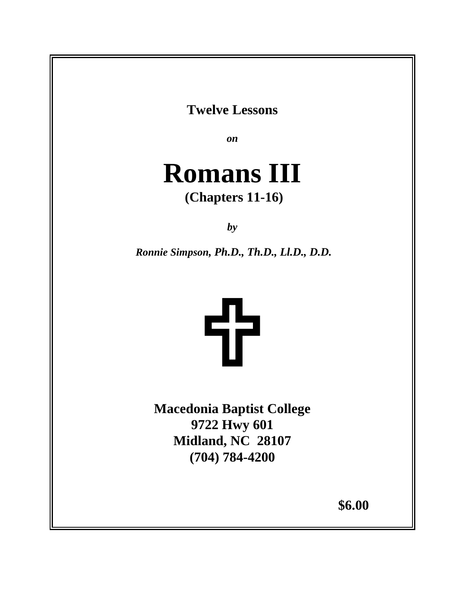**Twelve Lessons** 

*on*

# **Romans III (Chapters 11-16)**

*by*

*Ronnie Simpson, Ph.D., Th.D., Ll.D., D.D.*



**Macedonia Baptist College 9722 Hwy 601 Midland, NC 28107 (704) 784-4200**

 **\$6.00**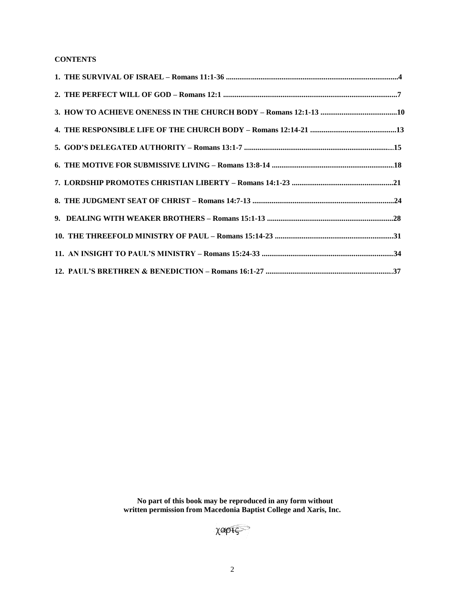**CONTENTS**

 **No part of this book may be reproduced in any form without written permission from Macedonia Baptist College and Xaris, Inc.**

XOOTS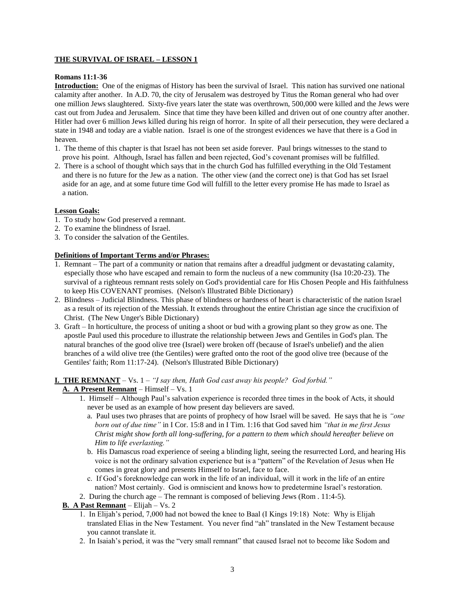### **THE SURVIVAL OF ISRAEL – LESSON 1**

### **Romans 11:1-36**

**Introduction:** One of the enigmas of History has been the survival of Israel. This nation has survived one national calamity after another. In A.D. 70, the city of Jerusalem was destroyed by Titus the Roman general who had over one million Jews slaughtered. Sixty-five years later the state was overthrown, 500,000 were killed and the Jews were cast out from Judea and Jerusalem. Since that time they have been killed and driven out of one country after another. Hitler had over 6 million Jews killed during his reign of horror. In spite of all their persecution, they were declared a state in 1948 and today are a viable nation. Israel is one of the strongest evidences we have that there is a God in heaven.

- 1. The theme of this chapter is that Israel has not been set aside forever. Paul brings witnesses to the stand to prove his point. Although, Israel has fallen and been rejected, God's covenant promises will be fulfilled.
- 2. There is a school of thought which says that in the church God has fulfilled everything in the Old Testament and there is no future for the Jew as a nation. The other view (and the correct one) is that God has set Israel aside for an age, and at some future time God will fulfill to the letter every promise He has made to Israel as a nation.

#### **Lesson Goals:**

- 1. To study how God preserved a remnant.
- 2. To examine the blindness of Israel.
- 3. To consider the salvation of the Gentiles.

#### **Definitions of Important Terms and/or Phrases:**

- 1. Remnant The part of a community or nation that remains after a dreadful judgment or devastating calamity, especially those who have escaped and remain to form the nucleus of a new community (Isa 10:20-23). The survival of a righteous remnant rests solely on God's providential care for His Chosen People and His faithfulness to keep His COVENANT promises. (Nelson's Illustrated Bible Dictionary)
- 2. Blindness Judicial Blindness. This phase of blindness or hardness of heart is characteristic of the nation Israel as a result of its rejection of the Messiah. It extends throughout the entire Christian age since the crucifixion of Christ. (The New Unger's Bible Dictionary)
- 3. Graft In horticulture, the process of uniting a shoot or bud with a growing plant so they grow as one. The apostle Paul used this procedure to illustrate the relationship between Jews and Gentiles in God's plan. The natural branches of the good olive tree (Israel) were broken off (because of Israel's unbelief) and the alien branches of a wild olive tree (the Gentiles) were grafted onto the root of the good olive tree (because of the Gentiles' faith; Rom 11:17-24). (Nelson's Illustrated Bible Dictionary)

## **I. THE REMNANT** – Vs. 1 – *"I say then, Hath God cast away his people? God forbid."*

#### **A. A Present Remnant** – Himself – Vs. 1

- 1. Himself Although Paul's salvation experience is recorded three times in the book of Acts, it should never be used as an example of how present day believers are saved.
	- a. Paul uses two phrases that are points of prophecy of how Israel will be saved. He says that he is *"one born out of due time"* in I Cor. 15:8 and in I Tim. 1:16 that God saved him *"that in me first Jesus Christ might show forth all long-suffering, for a pattern to them which should hereafter believe on Him to life everlasting."*
	- b. His Damascus road experience of seeing a blinding light, seeing the resurrected Lord, and hearing His voice is not the ordinary salvation experience but is a "pattern" of the Revelation of Jesus when He comes in great glory and presents Himself to Israel, face to face.
	- c. If God's foreknowledge can work in the life of an individual, will it work in the life of an entire nation? Most certainly. God is omniscient and knows how to predetermine Israel's restoration.
- 2. During the church age The remnant is composed of believing Jews (Rom . 11:4-5).

## **B. A Past Remnant** – Elijah – Vs. 2

- 1. In Elijah's period, 7,000 had not bowed the knee to Baal (I Kings 19:18) Note: Why is Elijah translated Elias in the New Testament. You never find "ah" translated in the New Testament because you cannot translate it.
- 2. In Isaiah's period, it was the "very small remnant" that caused Israel not to become like Sodom and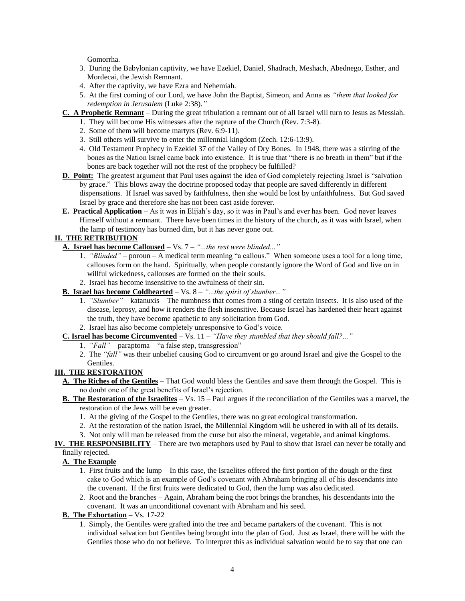Gomorrha.

- 3. During the Babylonian captivity, we have Ezekiel, Daniel, Shadrach, Meshach, Abednego, Esther, and Mordecai, the Jewish Remnant.
- 4. After the captivity, we have Ezra and Nehemiah.
- 5. At the first coming of our Lord, we have John the Baptist, Simeon, and Anna as *"them that looked for redemption in Jerusalem* (Luke 2:38).*"*
- **C. A Prophetic Remnant** During the great tribulation a remnant out of all Israel will turn to Jesus as Messiah. 1. They will become His witnesses after the rapture of the Church (Rev. 7:3-8).
	- 2. Some of them will become martyrs (Rev. 6:9-11).
	- 3. Still others will survive to enter the millennial kingdom (Zech. 12:6-13:9).
	- 4. Old Testament Prophecy in Ezekiel 37 of the Valley of Dry Bones. In 1948, there was a stirring of the bones as the Nation Israel came back into existence. It is true that "there is no breath in them" but if the bones are back together will not the rest of the prophecy be fulfilled?
- **D. Point:** The greatest argument that Paul uses against the idea of God completely rejecting Israel is "salvation" by grace." This blows away the doctrine proposed today that people are saved differently in different dispensations. If Israel was saved by faithfulness, then she would be lost by unfaithfulness. But God saved Israel by grace and therefore she has not been cast aside forever.
- **E. Practical Application** As it was in Elijah's day, so it was in Paul's and ever has been. God never leaves Himself without a remnant. There have been times in the history of the church, as it was with Israel, when the lamp of testimony has burned dim, but it has never gone out.

# **II. THE RETRIBUTION**

- **A. Israel has become Calloused** Vs. 7 *"...the rest were blinded..."*
	- 1. *"Blinded"* poroun A medical term meaning "a callous." When someone uses a tool for a long time, callouses form on the hand. Spiritually, when people constantly ignore the Word of God and live on in willful wickedness, callouses are formed on the their souls.
	- 2. Israel has become insensitive to the awfulness of their sin.
- **B. Israel has become Coldhearted** Vs. 8 *"...the spirit of slumber..."*
	- 1. *"Slumber"* katanuxis The numbness that comes from a sting of certain insects. It is also used of the disease, leprosy, and how it renders the flesh insensitive. Because Israel has hardened their heart against the truth, they have become apathetic to any solicitation from God.
	- 2. Israel has also become completely unresponsive to God's voice.
- **C. Israel has become Circumvented** Vs. 11 *"Have they stumbled that they should fall?..."*
	- 1. *"Fall"* paraptoma "a false step, transgression"
	- 2. The *"fall"* was their unbelief causing God to circumvent or go around Israel and give the Gospel to the Gentiles.

# **III. THE RESTORATION**

- **A. The Riches of the Gentiles** That God would bless the Gentiles and save them through the Gospel. This is no doubt one of the great benefits of Israel's rejection.
- **B. The Restoration of the Israelites** Vs. 15 Paul argues if the reconciliation of the Gentiles was a marvel, the restoration of the Jews will be even greater.
	- 1. At the giving of the Gospel to the Gentiles, there was no great ecological transformation.
	- 2. At the restoration of the nation Israel, the Millennial Kingdom will be ushered in with all of its details.
	- 3. Not only will man be released from the curse but also the mineral, vegetable, and animal kingdoms.
- **IV. THE RESPONSIBILITY** There are two metaphors used by Paul to show that Israel can never be totally and finally rejected.

# **A. The Example**

- 1. First fruits and the lump In this case, the Israelites offered the first portion of the dough or the first cake to God which is an example of God's covenant with Abraham bringing all of his descendants into the covenant. If the first fruits were dedicated to God, then the lump was also dedicated.
- 2. Root and the branches Again, Abraham being the root brings the branches, his descendants into the covenant. It was an unconditional covenant with Abraham and his seed.

# **B. The Exhortation** – Vs. 17-22

 1. Simply, the Gentiles were grafted into the tree and became partakers of the covenant. This is not individual salvation but Gentiles being brought into the plan of God. Just as Israel, there will be with the Gentiles those who do not believe. To interpret this as individual salvation would be to say that one can